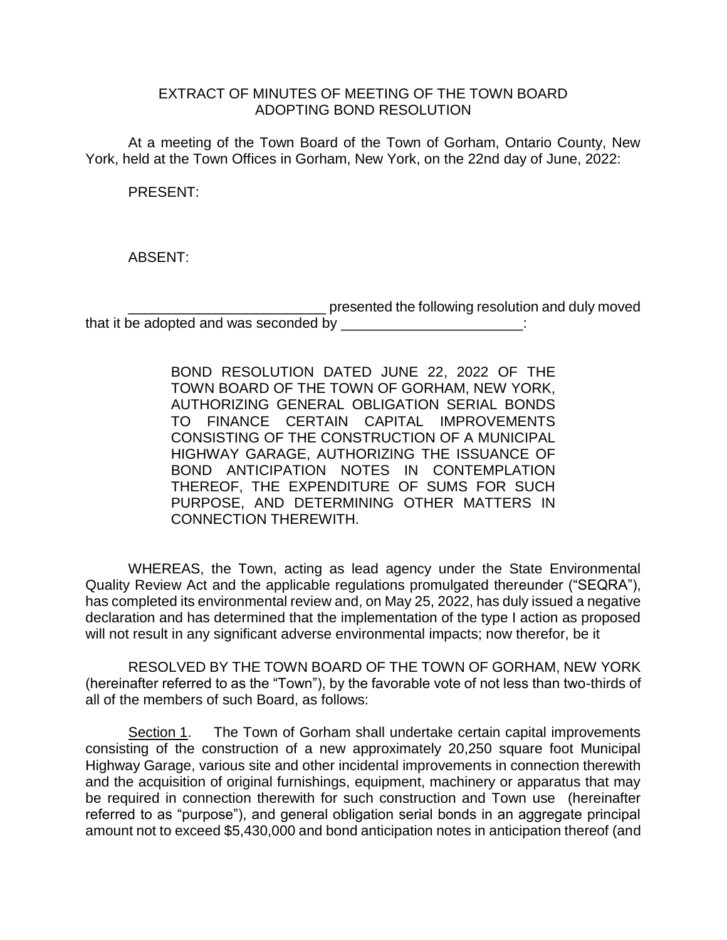## EXTRACT OF MINUTES OF MEETING OF THE TOWN BOARD ADOPTING BOND RESOLUTION

At a meeting of the Town Board of the Town of Gorham, Ontario County, New York, held at the Town Offices in Gorham, New York, on the 22nd day of June, 2022:

PRESENT:

ABSENT:

presented the following resolution and duly moved that it be adopted and was seconded by \_\_\_\_\_\_\_\_\_\_\_\_\_\_\_\_\_\_\_\_\_\_\_\_\_:

> BOND RESOLUTION DATED JUNE 22, 2022 OF THE TOWN BOARD OF THE TOWN OF GORHAM, NEW YORK, AUTHORIZING GENERAL OBLIGATION SERIAL BONDS TO FINANCE CERTAIN CAPITAL IMPROVEMENTS CONSISTING OF THE CONSTRUCTION OF A MUNICIPAL HIGHWAY GARAGE, AUTHORIZING THE ISSUANCE OF BOND ANTICIPATION NOTES IN CONTEMPLATION THEREOF, THE EXPENDITURE OF SUMS FOR SUCH PURPOSE, AND DETERMINING OTHER MATTERS IN CONNECTION THEREWITH.

WHEREAS, the Town, acting as lead agency under the State Environmental Quality Review Act and the applicable regulations promulgated thereunder ("SEQRA"), has completed its environmental review and, on May 25, 2022, has duly issued a negative declaration and has determined that the implementation of the type I action as proposed will not result in any significant adverse environmental impacts; now therefor, be it

RESOLVED BY THE TOWN BOARD OF THE TOWN OF GORHAM, NEW YORK (hereinafter referred to as the "Town"), by the favorable vote of not less than two-thirds of all of the members of such Board, as follows:

Section 1. The Town of Gorham shall undertake certain capital improvements consisting of the construction of a new approximately 20,250 square foot Municipal Highway Garage, various site and other incidental improvements in connection therewith and the acquisition of original furnishings, equipment, machinery or apparatus that may be required in connection therewith for such construction and Town use (hereinafter referred to as "purpose"), and general obligation serial bonds in an aggregate principal amount not to exceed \$5,430,000 and bond anticipation notes in anticipation thereof (and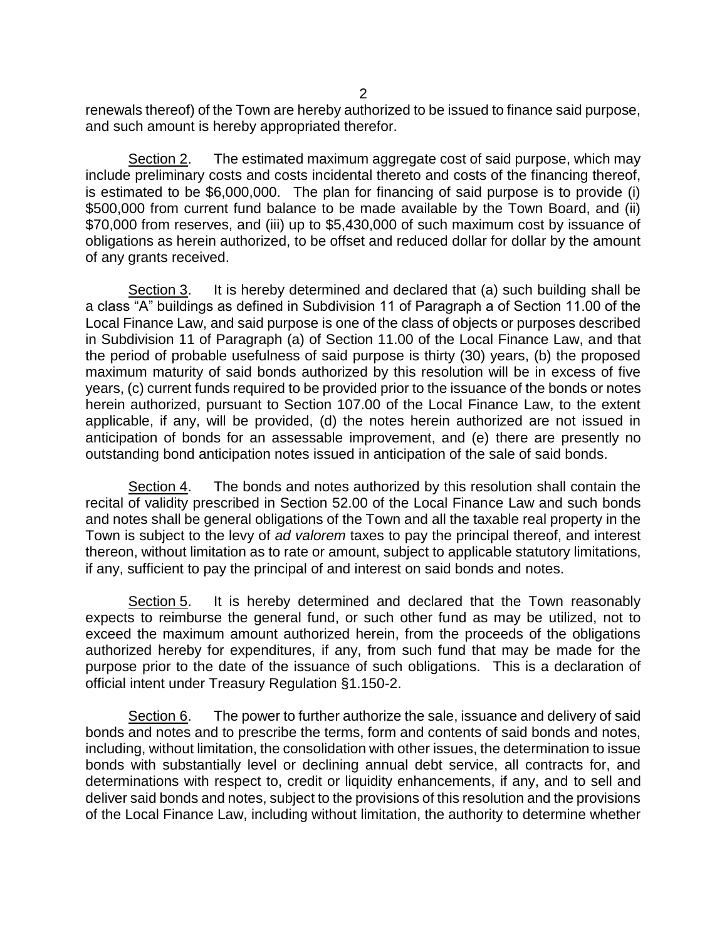renewals thereof) of the Town are hereby authorized to be issued to finance said purpose, and such amount is hereby appropriated therefor.

Section 2. The estimated maximum aggregate cost of said purpose, which may include preliminary costs and costs incidental thereto and costs of the financing thereof, is estimated to be \$6,000,000. The plan for financing of said purpose is to provide (i) \$500,000 from current fund balance to be made available by the Town Board, and (ii) \$70,000 from reserves, and (iii) up to \$5,430,000 of such maximum cost by issuance of obligations as herein authorized, to be offset and reduced dollar for dollar by the amount of any grants received.

Section 3. It is hereby determined and declared that (a) such building shall be a class "A" buildings as defined in Subdivision 11 of Paragraph a of Section 11.00 of the Local Finance Law, and said purpose is one of the class of objects or purposes described in Subdivision 11 of Paragraph (a) of Section 11.00 of the Local Finance Law, and that the period of probable usefulness of said purpose is thirty (30) years, (b) the proposed maximum maturity of said bonds authorized by this resolution will be in excess of five years, (c) current funds required to be provided prior to the issuance of the bonds or notes herein authorized, pursuant to Section 107.00 of the Local Finance Law, to the extent applicable, if any, will be provided, (d) the notes herein authorized are not issued in anticipation of bonds for an assessable improvement, and (e) there are presently no outstanding bond anticipation notes issued in anticipation of the sale of said bonds.

Section 4. The bonds and notes authorized by this resolution shall contain the recital of validity prescribed in Section 52.00 of the Local Finance Law and such bonds and notes shall be general obligations of the Town and all the taxable real property in the Town is subject to the levy of *ad valorem* taxes to pay the principal thereof, and interest thereon, without limitation as to rate or amount, subject to applicable statutory limitations, if any, sufficient to pay the principal of and interest on said bonds and notes.

Section 5. It is hereby determined and declared that the Town reasonably expects to reimburse the general fund, or such other fund as may be utilized, not to exceed the maximum amount authorized herein, from the proceeds of the obligations authorized hereby for expenditures, if any, from such fund that may be made for the purpose prior to the date of the issuance of such obligations. This is a declaration of official intent under Treasury Regulation §1.150-2.

Section 6. The power to further authorize the sale, issuance and delivery of said bonds and notes and to prescribe the terms, form and contents of said bonds and notes, including, without limitation, the consolidation with other issues, the determination to issue bonds with substantially level or declining annual debt service, all contracts for, and determinations with respect to, credit or liquidity enhancements, if any, and to sell and deliver said bonds and notes, subject to the provisions of this resolution and the provisions of the Local Finance Law, including without limitation, the authority to determine whether

2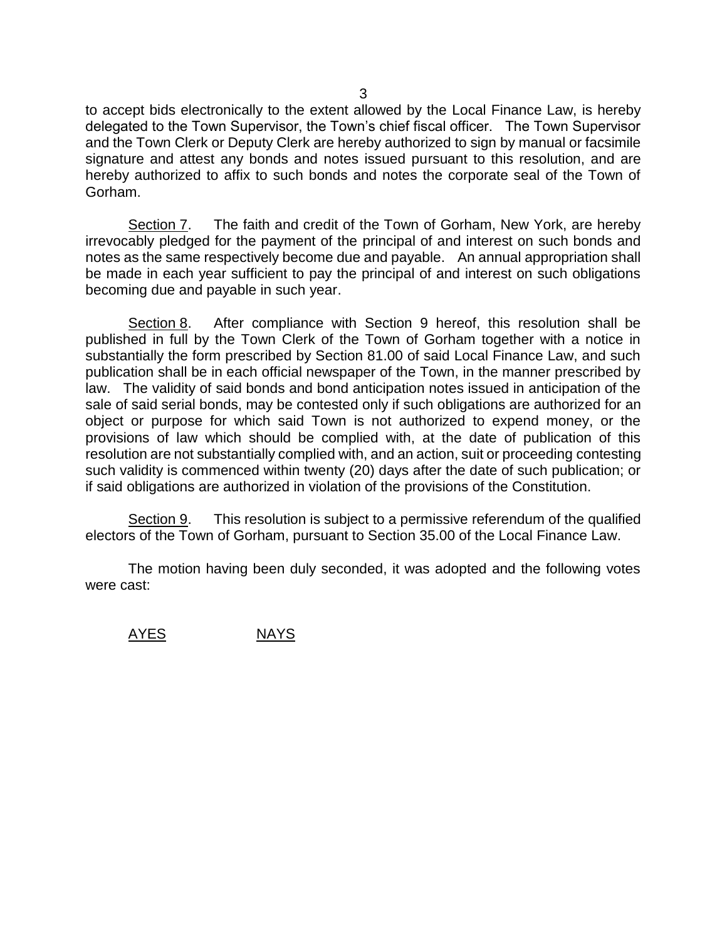to accept bids electronically to the extent allowed by the Local Finance Law, is hereby delegated to the Town Supervisor, the Town's chief fiscal officer. The Town Supervisor and the Town Clerk or Deputy Clerk are hereby authorized to sign by manual or facsimile signature and attest any bonds and notes issued pursuant to this resolution, and are hereby authorized to affix to such bonds and notes the corporate seal of the Town of Gorham.

Section 7. The faith and credit of the Town of Gorham, New York, are hereby irrevocably pledged for the payment of the principal of and interest on such bonds and notes as the same respectively become due and payable. An annual appropriation shall be made in each year sufficient to pay the principal of and interest on such obligations becoming due and payable in such year.

Section 8. After compliance with Section 9 hereof, this resolution shall be published in full by the Town Clerk of the Town of Gorham together with a notice in substantially the form prescribed by Section 81.00 of said Local Finance Law, and such publication shall be in each official newspaper of the Town, in the manner prescribed by law. The validity of said bonds and bond anticipation notes issued in anticipation of the sale of said serial bonds, may be contested only if such obligations are authorized for an object or purpose for which said Town is not authorized to expend money, or the provisions of law which should be complied with, at the date of publication of this resolution are not substantially complied with, and an action, suit or proceeding contesting such validity is commenced within twenty (20) days after the date of such publication; or if said obligations are authorized in violation of the provisions of the Constitution.

Section 9. This resolution is subject to a permissive referendum of the qualified electors of the Town of Gorham, pursuant to Section 35.00 of the Local Finance Law.

The motion having been duly seconded, it was adopted and the following votes were cast:

AYES NAYS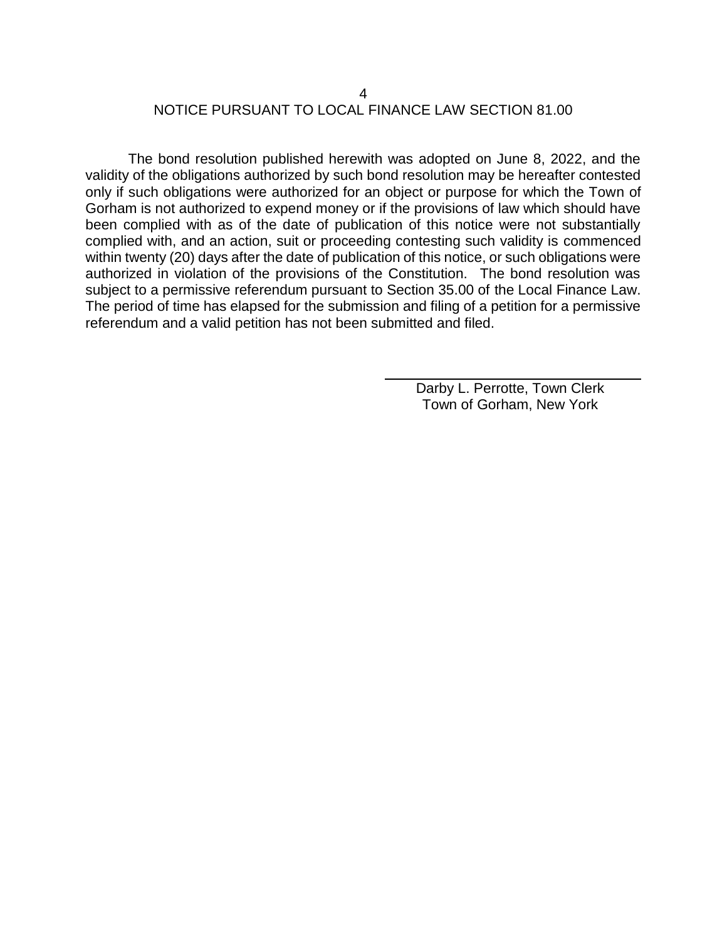## 4 NOTICE PURSUANT TO LOCAL FINANCE LAW SECTION 81.00

The bond resolution published herewith was adopted on June 8, 2022, and the validity of the obligations authorized by such bond resolution may be hereafter contested only if such obligations were authorized for an object or purpose for which the Town of Gorham is not authorized to expend money or if the provisions of law which should have been complied with as of the date of publication of this notice were not substantially complied with, and an action, suit or proceeding contesting such validity is commenced within twenty (20) days after the date of publication of this notice, or such obligations were authorized in violation of the provisions of the Constitution. The bond resolution was subject to a permissive referendum pursuant to Section 35.00 of the Local Finance Law. The period of time has elapsed for the submission and filing of a petition for a permissive referendum and a valid petition has not been submitted and filed.

> Darby L. Perrotte, Town Clerk Town of Gorham, New York